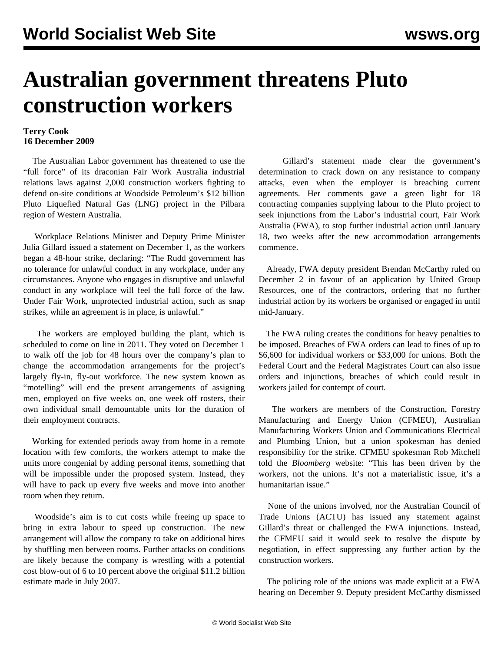## **Australian government threatens Pluto construction workers**

## **Terry Cook 16 December 2009**

 The Australian Labor government has threatened to use the "full force" of its draconian Fair Work Australia industrial relations laws against 2,000 construction workers fighting to defend on-site conditions at Woodside Petroleum's \$12 billion Pluto Liquefied Natural Gas (LNG) project in the Pilbara region of Western Australia.

 Workplace Relations Minister and Deputy Prime Minister Julia Gillard issued a statement on December 1, as the workers began a 48-hour strike, declaring: "The Rudd government has no tolerance for unlawful conduct in any workplace, under any circumstances. Anyone who engages in disruptive and unlawful conduct in any workplace will feel the full force of the law. Under Fair Work, unprotected industrial action, such as snap strikes, while an agreement is in place, is unlawful."

 The workers are employed building the plant, which is scheduled to come on line in 2011. They voted on December 1 to walk off the job for 48 hours over the company's plan to change the accommodation arrangements for the project's largely fly-in, fly-out workforce. The new system known as "motelling" will end the present arrangements of assigning men, employed on five weeks on, one week off rosters, their own individual small demountable units for the duration of their employment contracts.

 Working for extended periods away from home in a remote location with few comforts, the workers attempt to make the units more congenial by adding personal items, something that will be impossible under the proposed system. Instead, they will have to pack up every five weeks and move into another room when they return.

 Woodside's aim is to cut costs while freeing up space to bring in extra labour to speed up construction. The new arrangement will allow the company to take on additional hires by shuffling men between rooms. Further attacks on conditions are likely because the company is wrestling with a potential cost blow-out of 6 to 10 percent above the original \$11.2 billion estimate made in July 2007.

 Gillard's statement made clear the government's determination to crack down on any resistance to company attacks, even when the employer is breaching current agreements. Her comments gave a green light for 18 contracting companies supplying labour to the Pluto project to seek injunctions from the Labor's industrial court, Fair Work Australia (FWA), to stop further industrial action until January 18, two weeks after the new accommodation arrangements commence.

 Already, FWA deputy president Brendan McCarthy ruled on December 2 in favour of an application by United Group Resources, one of the contractors, ordering that no further industrial action by its workers be organised or engaged in until mid-January.

 The FWA ruling creates the conditions for heavy penalties to be imposed. Breaches of FWA orders can lead to fines of up to \$6,600 for individual workers or \$33,000 for unions. Both the Federal Court and the Federal Magistrates Court can also issue orders and injunctions, breaches of which could result in workers jailed for contempt of court.

 The workers are members of the Construction, Forestry Manufacturing and Energy Union (CFMEU), Australian Manufacturing Workers Union and Communications Electrical and Plumbing Union, but a union spokesman has denied responsibility for the strike. CFMEU spokesman Rob Mitchell told the *Bloomberg* website: "This has been driven by the workers, not the unions. It's not a materialistic issue, it's a humanitarian issue."

 None of the unions involved, nor the Australian Council of Trade Unions (ACTU) has issued any statement against Gillard's threat or challenged the FWA injunctions. Instead, the CFMEU said it would seek to resolve the dispute by negotiation, in effect suppressing any further action by the construction workers.

 The policing role of the unions was made explicit at a FWA hearing on December 9. Deputy president McCarthy dismissed